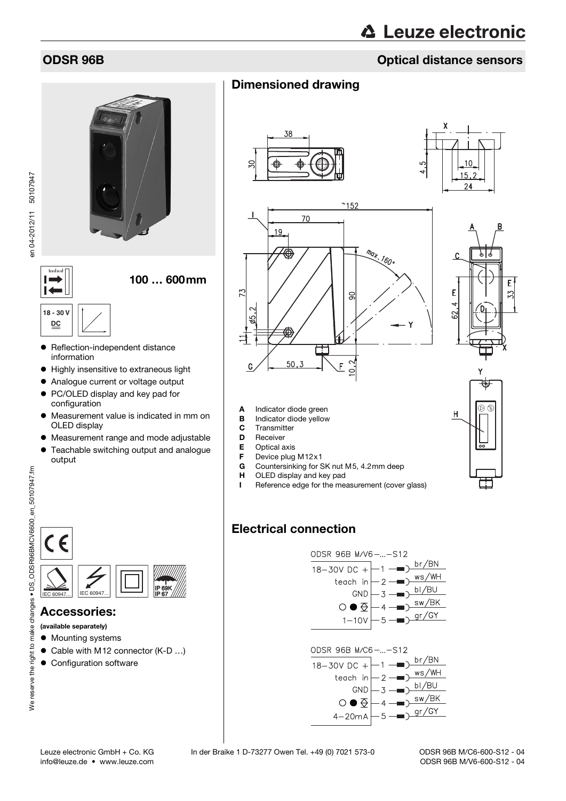## ODSR 96B Optical distance sensors

100 … 600mm

# **18 - 30 V DC**

**Turrlin** l –

 $\blacksquare$ 

- Reflection-independent distance information
- Highly insensitive to extraneous light
- Analogue current or voltage output
- PC/OLED display and key pad for configuration
- Measurement value is indicated in mm on OLED display
- Measurement range and mode adjustable
- Teachable switching output and analogue output









Countersinking for SK nut M5, 4.2mm deep

I Reference edge for the measurement (cover glass)



## Electrical connection

**H** OLED display and key pad

A Indicator diode green **B** Indicator diode yellow

C Transmitter D Receiver **E** Optical axis<br>**F** Device plug **F** Device plug M12 $\times$ 1<br>**G** Countersinking for S



| IEC 60947 | IEC 60947 |  |
|-----------|-----------|--|

### Accessories:

(available separately)

- $\bullet$  Mounting systems
- Cable with M12 connector (K-D ...)
- **Configuration software**